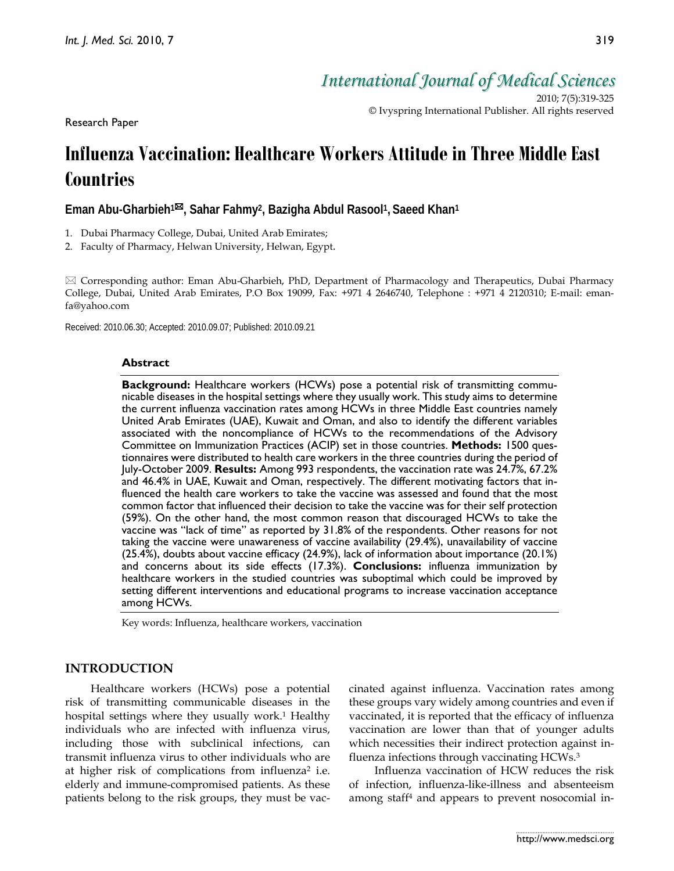*International Journal of Medical Sciences*

2010; 7(5):319-325 © Ivyspring International Publisher. All rights reserved

Research Paper

# **Influenza Vaccination: Healthcare Workers Attitude in Three Middle East Countries**

**Eman Abu-Gharbieh1, Sahar Fahmy2, Bazigha Abdul Rasool1, Saeed Khan1**

- 1. Dubai Pharmacy College, Dubai, United Arab Emirates;
- 2. Faculty of Pharmacy, Helwan University, Helwan, Egypt.

 $\boxtimes$  Corresponding author: Eman Abu-Gharbieh, PhD, Department of Pharmacology and Therapeutics, Dubai Pharmacy College, Dubai, United Arab Emirates, P.O Box 19099, Fax: +971 4 2646740, Telephone : +971 4 2120310; E-mail: emanfa@yahoo.com

Received: 2010.06.30; Accepted: 2010.09.07; Published: 2010.09.21

#### **Abstract**

**Background:** Healthcare workers (HCWs) pose a potential risk of transmitting communicable diseases in the hospital settings where they usually work. This study aims to determine the current influenza vaccination rates among HCWs in three Middle East countries namely United Arab Emirates (UAE), Kuwait and Oman, and also to identify the different variables associated with the noncompliance of HCWs to the recommendations of the Advisory Committee on Immunization Practices (ACIP) set in those countries. **Methods:** 1500 questionnaires were distributed to health care workers in the three countries during the period of July-October 2009. **Results:** Among 993 respondents, the vaccination rate was 24.7%, 67.2% and 46.4% in UAE, Kuwait and Oman, respectively. The different motivating factors that influenced the health care workers to take the vaccine was assessed and found that the most common factor that influenced their decision to take the vaccine was for their self protection (59%). On the other hand, the most common reason that discouraged HCWs to take the vaccine was "lack of time" as reported by 31.8% of the respondents. Other reasons for not taking the vaccine were unawareness of vaccine availability (29.4%), unavailability of vaccine (25.4%), doubts about vaccine efficacy (24.9%), lack of information about importance (20.1%) and concerns about its side effects (17.3%). **Conclusions:** influenza immunization by healthcare workers in the studied countries was suboptimal which could be improved by setting different interventions and educational programs to increase vaccination acceptance among HCWs.

Key words: Influenza, healthcare workers, vaccination

# **INTRODUCTION**

Healthcare workers (HCWs) pose a potential risk of transmitting communicable diseases in the hospital settings where they usually work.<sup>1</sup> Healthy individuals who are infected with influenza virus, including those with subclinical infections, can transmit influenza virus to other individuals who are at higher risk of complications from influenza<sup>2</sup> i.e. elderly and immune-compromised patients. As these patients belong to the risk groups, they must be vaccinated against influenza. Vaccination rates among these groups vary widely among countries and even if vaccinated, it is reported that the efficacy of influenza vaccination are lower than that of younger adults which necessities their indirect protection against influenza infections through vaccinating HCWs.3

Influenza vaccination of HCW reduces the risk of infection, influenza-like-illness and absenteeism among staff4 and appears to prevent nosocomial in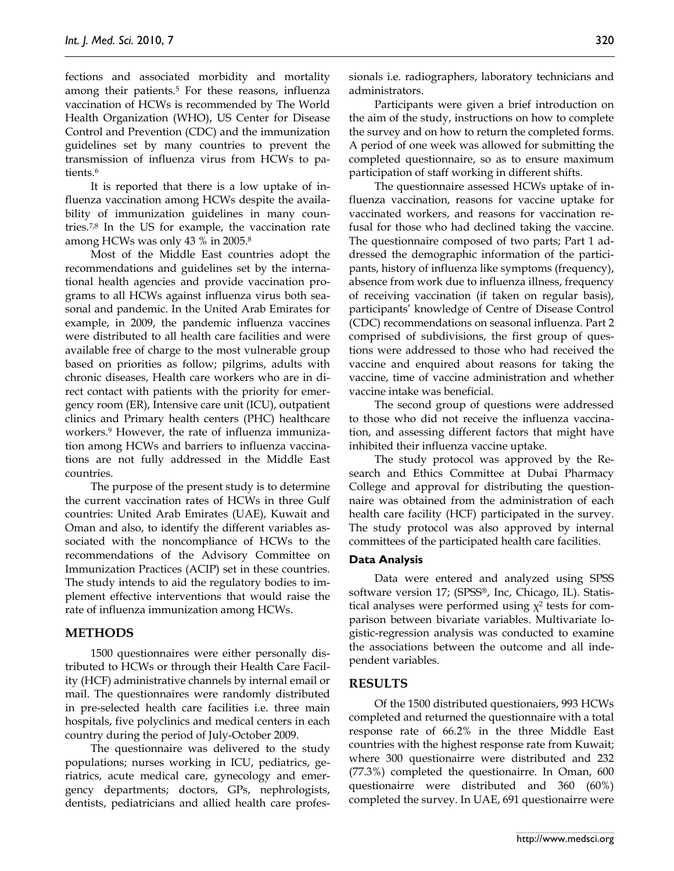fections and associated morbidity and mortality among their patients.<sup>5</sup> For these reasons, influenza vaccination of HCWs is recommended by The World Health Organization (WHO), US Center for Disease Control and Prevention (CDC) and the immunization guidelines set by many countries to prevent the transmission of influenza virus from HCWs to patients.<sup>6</sup>

It is reported that there is a low uptake of influenza vaccination among HCWs despite the availability of immunization guidelines in many countries.7,8 In the US for example, the vaccination rate among HCWs was only 43 % in 2005.8

Most of the Middle East countries adopt the recommendations and guidelines set by the international health agencies and provide vaccination programs to all HCWs against influenza virus both seasonal and pandemic. In the United Arab Emirates for example, in 2009, the pandemic influenza vaccines were distributed to all health care facilities and were available free of charge to the most vulnerable group based on priorities as follow; pilgrims, adults with chronic diseases, Health care workers who are in direct contact with patients with the priority for emergency room (ER), Intensive care unit (ICU), outpatient clinics and Primary health centers (PHC) healthcare workers.9 However, the rate of influenza immunization among HCWs and barriers to influenza vaccinations are not fully addressed in the Middle East countries.

The purpose of the present study is to determine the current vaccination rates of HCWs in three Gulf countries: United Arab Emirates (UAE), Kuwait and Oman and also, to identify the different variables associated with the noncompliance of HCWs to the recommendations of the Advisory Committee on Immunization Practices (ACIP) set in these countries. The study intends to aid the regulatory bodies to implement effective interventions that would raise the rate of influenza immunization among HCWs.

## **METHODS**

1500 questionnaires were either personally distributed to HCWs or through their Health Care Facility (HCF) administrative channels by internal email or mail. The questionnaires were randomly distributed in pre-selected health care facilities i.e. three main hospitals, five polyclinics and medical centers in each country during the period of July-October 2009.

The questionnaire was delivered to the study populations; nurses working in ICU, pediatrics, geriatrics, acute medical care, gynecology and emergency departments; doctors, GPs, nephrologists, dentists, pediatricians and allied health care professionals i.e. radiographers, laboratory technicians and administrators.

Participants were given a brief introduction on the aim of the study, instructions on how to complete the survey and on how to return the completed forms. A period of one week was allowed for submitting the completed questionnaire, so as to ensure maximum participation of staff working in different shifts.

The questionnaire assessed HCWs uptake of influenza vaccination, reasons for vaccine uptake for vaccinated workers, and reasons for vaccination refusal for those who had declined taking the vaccine. The questionnaire composed of two parts; Part 1 addressed the demographic information of the participants, history of influenza like symptoms (frequency), absence from work due to influenza illness, frequency of receiving vaccination (if taken on regular basis), participants' knowledge of Centre of Disease Control (CDC) recommendations on seasonal influenza. Part 2 comprised of subdivisions, the first group of questions were addressed to those who had received the vaccine and enquired about reasons for taking the vaccine, time of vaccine administration and whether vaccine intake was beneficial.

The second group of questions were addressed to those who did not receive the influenza vaccination, and assessing different factors that might have inhibited their influenza vaccine uptake.

The study protocol was approved by the Research and Ethics Committee at Dubai Pharmacy College and approval for distributing the questionnaire was obtained from the administration of each health care facility (HCF) participated in the survey. The study protocol was also approved by internal committees of the participated health care facilities.

#### **Data Analysis**

Data were entered and analyzed using SPSS software version 17; (SPSS®, Inc, Chicago, IL). Statistical analyses were performed using  $\chi^2$  tests for comparison between bivariate variables. Multivariate logistic-regression analysis was conducted to examine the associations between the outcome and all independent variables.

# **RESULTS**

Of the 1500 distributed questionaiers, 993 HCWs completed and returned the questionnaire with a total response rate of 66.2% in the three Middle East countries with the highest response rate from Kuwait; where 300 questionairre were distributed and 232 (77.3%) completed the questionairre. In Oman, 600 questionairre were distributed and 360 (60%) completed the survey. In UAE, 691 questionairre were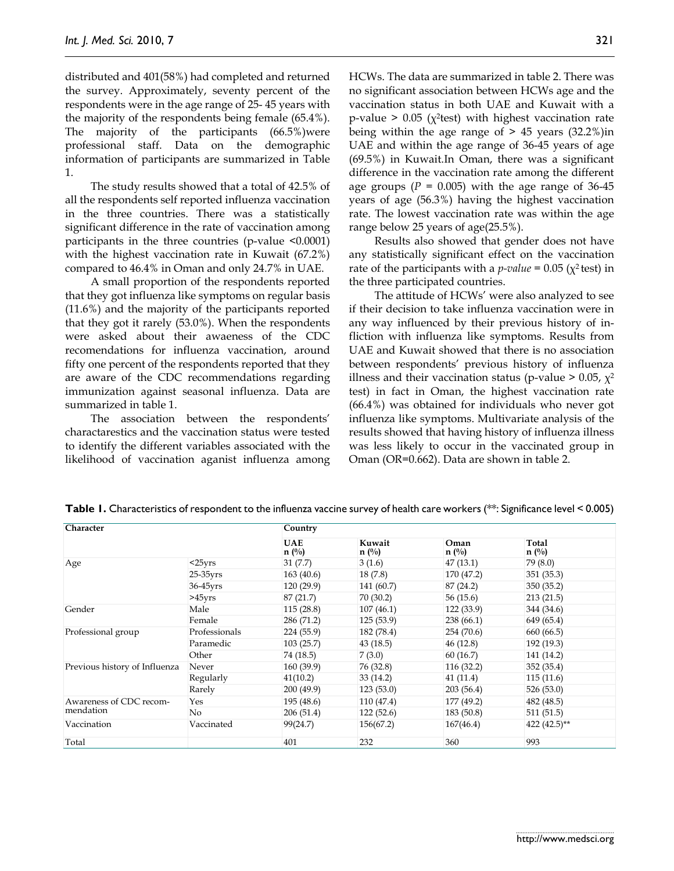distributed and 401(58%) had completed and returned the survey. Approximately, seventy percent of the respondents were in the age range of 25- 45 years with the majority of the respondents being female (65.4%). The majority of the participants (66.5%)were professional staff. Data on the demographic information of participants are summarized in Table 1.

The study results showed that a total of 42.5% of all the respondents self reported influenza vaccination in the three countries. There was a statistically significant difference in the rate of vaccination among participants in the three countries (p-value <0.0001) with the highest vaccination rate in Kuwait (67.2%) compared to 46.4% in Oman and only 24.7% in UAE.

A small proportion of the respondents reported that they got influenza like symptoms on regular basis (11.6%) and the majority of the participants reported that they got it rarely (53.0%). When the respondents were asked about their awaeness of the CDC recomendations for influenza vaccination, around fifty one percent of the respondents reported that they are aware of the CDC recommendations regarding immunization against seasonal influenza. Data are summarized in table 1.

The association between the respondents' charactarestics and the vaccination status were tested to identify the different variables associated with the likelihood of vaccination aganist influenza among HCWs. The data are summarized in table 2. There was no significant association between HCWs age and the vaccination status in both UAE and Kuwait with a p-value  $> 0.05$  ( $\chi^2$ test) with highest vaccination rate being within the age range of  $> 45$  years (32.2%)in UAE and within the age range of 36-45 years of age (69.5%) in Kuwait.In Oman, there was a significant difference in the vaccination rate among the different age groups  $(P = 0.005)$  with the age range of 36-45 years of age (56.3%) having the highest vaccination rate. The lowest vaccination rate was within the age range below 25 years of age(25.5%).

Results also showed that gender does not have any statistically significant effect on the vaccination rate of the participants with a  $p$ -value = 0.05 ( $\chi^2$  test) in the three participated countries.

The attitude of HCWs' were also analyzed to see if their decision to take influenza vaccination were in any way influenced by their previous history of infliction with influenza like symptoms. Results from UAE and Kuwait showed that there is no association between respondents' previous history of influenza illness and their vaccination status (p-value > 0.05,  $\chi^2$ test) in fact in Oman, the highest vaccination rate (66.4%) was obtained for individuals who never got influenza like symptoms. Multivariate analysis of the results showed that having history of influenza illness was less likely to occur in the vaccinated group in Oman (OR=0.662). Data are shown in table 2.

| Character                            |               | Country                     |                         |                        |                        |  |  |  |
|--------------------------------------|---------------|-----------------------------|-------------------------|------------------------|------------------------|--|--|--|
|                                      |               | <b>UAE</b><br>$n(^{0}_{0})$ | Kuwait<br>$n(^{0}_{0})$ | Oman<br>$n(^{0}/_{0})$ | Total<br>$n(^{0}_{0})$ |  |  |  |
| Age                                  | $<$ 25 $yrs$  | 31(7.7)                     | 3(1.6)                  | 47(13.1)               | 79 (8.0)               |  |  |  |
|                                      | 25-35yrs      | 163(40.6)                   | 18(7.8)                 | 170 (47.2)             | 351 (35.3)             |  |  |  |
|                                      | 36-45yrs      | 120(29.9)                   | 141(60.7)               | 87 (24.2)              | 350 (35.2)             |  |  |  |
|                                      | $>45$ vrs     | 87(21.7)                    | 70(30.2)                | 56(15.6)               | 213(21.5)              |  |  |  |
| Gender                               | Male          | 115(28.8)                   | 107(46.1)               | 122(33.9)              | 344 (34.6)             |  |  |  |
|                                      | Female        | 286 (71.2)                  | 125(53.9)               | 238(66.1)              | 649 (65.4)             |  |  |  |
| Professional group                   | Professionals | 224 (55.9)                  | 182 (78.4)              | 254 (70.6)             | 660 (66.5)             |  |  |  |
|                                      | Paramedic     | 103(25.7)                   | 43(18.5)                | 46 (12.8)              | 192(19.3)              |  |  |  |
|                                      | Other         | 74 (18.5)                   | 7(3.0)                  | 60(16.7)               | 141 (14.2)             |  |  |  |
| Previous history of Influenza        | Never         | 160(39.9)                   | 76(32.8)                | 116(32.2)              | 352 (35.4)             |  |  |  |
|                                      | Regularly     | 41(10.2)                    | 33(14.2)                | 41(11.4)               | 115(11.6)              |  |  |  |
|                                      | Rarely        | 200 (49.9)                  | 123(53.0)               | 203(56.4)              | 526(53.0)              |  |  |  |
| Awareness of CDC recom-<br>mendation | Yes           | 195 (48.6)                  | 110(47.4)               | 177 (49.2)             | 482 (48.5)             |  |  |  |
|                                      | No            | 206(51.4)                   | 122(52.6)               | 183(50.8)              | 511(51.5)              |  |  |  |
| Vaccination                          | Vaccinated    | 99(24.7)                    | 156(67.2)               | 167(46.4)              | 422 $(42.5)$ **        |  |  |  |
| Total                                |               | 401                         | 232                     | 360                    | 993                    |  |  |  |

**Table 1.** Characteristics of respondent to the influenza vaccine survey of health care workers (\*\*: Significance level < 0.005)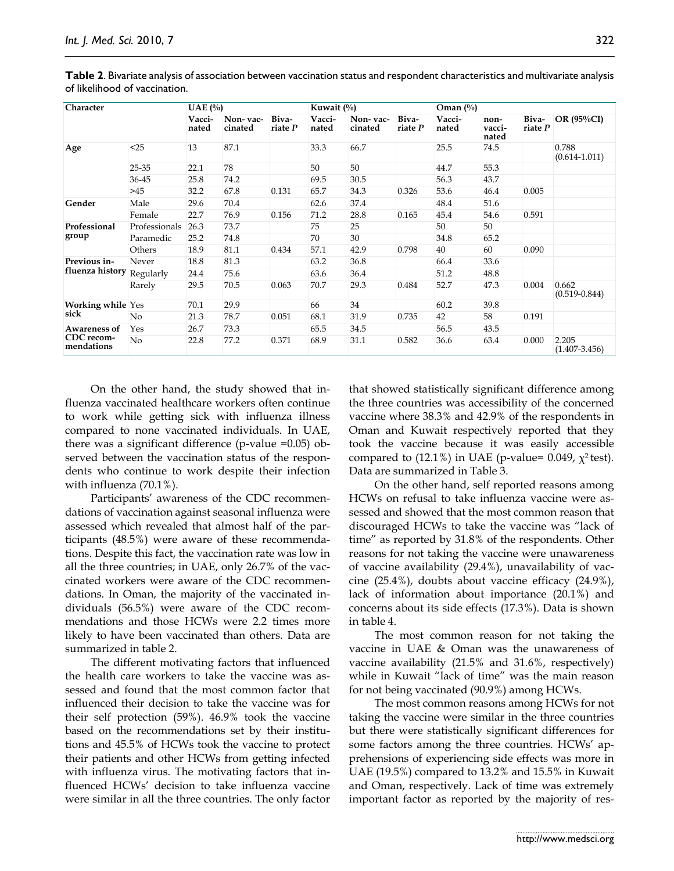| Character                                                                           |               | UAE $(\%)$      |                     |                  | Kuwait $(\%)$   |                     |                  | Oman $(\%)$     |                         |                  |                            |
|-------------------------------------------------------------------------------------|---------------|-----------------|---------------------|------------------|-----------------|---------------------|------------------|-----------------|-------------------------|------------------|----------------------------|
|                                                                                     |               | Vacci-<br>nated | Non-vac-<br>cinated | Biva-<br>riate P | Vacci-<br>nated | Non-vac-<br>cinated | Biva-<br>riate P | Vacci-<br>nated | non-<br>vacci-<br>nated | Biva-<br>riate P | <b>OR (95%CI)</b>          |
|                                                                                     | $<$ 25        | 13              | 87.1                |                  | 33.3            | 66.7                |                  | 25.5            | 74.5                    |                  | 0.788<br>$(0.614 - 1.011)$ |
|                                                                                     | 25-35         | 22.1            | 78                  |                  | 50              | 50                  |                  | 44.7            | 55.3                    |                  |                            |
| Age<br>Gender<br>Professional<br>group<br>Previous in-<br>fluenza history           | 36-45         | 25.8            | 74.2                |                  | 69.5            | 30.5                |                  | 56.3            | 43.7                    |                  |                            |
|                                                                                     | >45           | 32.2            | 67.8                | 0.131            | 65.7            | 34.3                | 0.326            | 53.6            | 46.4                    | 0.005            |                            |
|                                                                                     | Male          | 29.6            | 70.4                |                  | 62.6            | 37.4                |                  | 48.4            | 51.6                    |                  |                            |
|                                                                                     | Female        | 22.7            | 76.9                | 0.156            | 71.2            | 28.8                | 0.165            | 45.4            | 54.6                    | 0.591            |                            |
|                                                                                     | Professionals | 26.3            | 73.7                |                  | 75              | 25                  |                  | 50              | 50                      |                  |                            |
|                                                                                     | Paramedic     | 25.2            | 74.8                |                  | 70              | 30                  |                  | 34.8            | 65.2                    |                  |                            |
| <b>Working while Yes</b><br>sick<br><b>Awareness of</b><br>CDC recom-<br>mendations | Others        | 18.9            | 81.1                | 0.434            | 57.1            | 42.9                | 0.798            | 40              | 60                      | 0.090            |                            |
|                                                                                     | Never         | 18.8            | 81.3                |                  | 63.2            | 36.8                |                  | 66.4            | 33.6                    |                  |                            |
|                                                                                     | Regularly     | 24.4            | 75.6                |                  | 63.6            | 36.4                |                  | 51.2            | 48.8                    |                  |                            |
|                                                                                     | Rarely        | 29.5            | 70.5                | 0.063            | 70.7            | 29.3                | 0.484            | 52.7            | 47.3                    | 0.004            | 0.662<br>$(0.519 - 0.844)$ |
|                                                                                     |               | 70.1            | 29.9                |                  | 66              | 34                  |                  | 60.2            | 39.8                    |                  |                            |
|                                                                                     | No.           | 21.3            | 78.7                | 0.051            | 68.1            | 31.9                | 0.735            | 42              | 58                      | 0.191            |                            |
|                                                                                     | Yes           | 26.7            | 73.3                |                  | 65.5            | 34.5                |                  | 56.5            | 43.5                    |                  |                            |
|                                                                                     | No            | 22.8            | 77.2                | 0.371            | 68.9            | 31.1                | 0.582            | 36.6            | 63.4                    | 0.000            | 2.205<br>$(1.407 - 3.456)$ |

**Table 2**. Bivariate analysis of association between vaccination status and respondent characteristics and multivariate analysis of likelihood of vaccination.

On the other hand, the study showed that influenza vaccinated healthcare workers often continue to work while getting sick with influenza illness compared to none vaccinated individuals. In UAE, there was a significant difference ( $p$ -value =0.05) observed between the vaccination status of the respondents who continue to work despite their infection with influenza (70.1%).

Participants' awareness of the CDC recommendations of vaccination against seasonal influenza were assessed which revealed that almost half of the participants (48.5%) were aware of these recommendations. Despite this fact, the vaccination rate was low in all the three countries; in UAE, only 26.7% of the vaccinated workers were aware of the CDC recommendations. In Oman, the majority of the vaccinated individuals (56.5%) were aware of the CDC recommendations and those HCWs were 2.2 times more likely to have been vaccinated than others. Data are summarized in table 2.

The different motivating factors that influenced the health care workers to take the vaccine was assessed and found that the most common factor that influenced their decision to take the vaccine was for their self protection (59%). 46.9% took the vaccine based on the recommendations set by their institutions and 45.5% of HCWs took the vaccine to protect their patients and other HCWs from getting infected with influenza virus. The motivating factors that influenced HCWs' decision to take influenza vaccine were similar in all the three countries. The only factor

that showed statistically significant difference among the three countries was accessibility of the concerned vaccine where 38.3% and 42.9% of the respondents in Oman and Kuwait respectively reported that they took the vaccine because it was easily accessible compared to  $(12.1\%)$  in UAE (p-value= 0.049,  $\chi^2$  test). Data are summarized in Table 3.

On the other hand, self reported reasons among HCWs on refusal to take influenza vaccine were assessed and showed that the most common reason that discouraged HCWs to take the vaccine was "lack of time" as reported by 31.8% of the respondents. Other reasons for not taking the vaccine were unawareness of vaccine availability (29.4%), unavailability of vaccine (25.4%), doubts about vaccine efficacy (24.9%), lack of information about importance (20.1%) and concerns about its side effects (17.3%). Data is shown in table 4.

The most common reason for not taking the vaccine in UAE & Oman was the unawareness of vaccine availability (21.5% and 31.6%, respectively) while in Kuwait "lack of time" was the main reason for not being vaccinated (90.9%) among HCWs.

The most common reasons among HCWs for not taking the vaccine were similar in the three countries but there were statistically significant differences for some factors among the three countries. HCWs' apprehensions of experiencing side effects was more in UAE (19.5%) compared to 13.2% and 15.5% in Kuwait and Oman, respectively. Lack of time was extremely important factor as reported by the majority of res-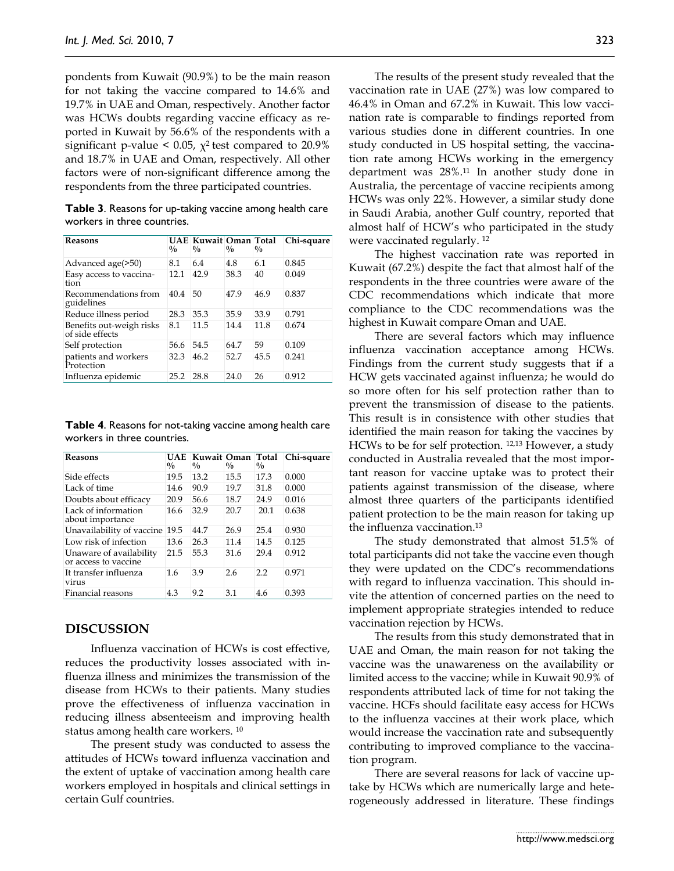pondents from Kuwait (90.9%) to be the main reason for not taking the vaccine compared to 14.6% and 19.7% in UAE and Oman, respectively. Another factor was HCWs doubts regarding vaccine efficacy as reported in Kuwait by 56.6% of the respondents with a significant p-value < 0.05,  $\chi^2$  test compared to 20.9% and 18.7% in UAE and Oman, respectively. All other factors were of non-significant difference among the respondents from the three participated countries.

**Table 3**. Reasons for up-taking vaccine among health care workers in three countries.

| Reasons                                     | $\frac{0}{0}$ | UAE Kuwait Oman Total<br>$\frac{0}{0}$ | $\frac{0}{0}$ | $\frac{0}{0}$ | Chi-square |
|---------------------------------------------|---------------|----------------------------------------|---------------|---------------|------------|
| Advanced age(>50)                           | 8.1           | 6.4                                    | 4.8           | 6.1           | 0.845      |
| Easy access to vaccina-<br>tion             | 12.1          | 42.9                                   | 38.3          | 40            | 0.049      |
| Recommendations from<br>guidelines          | 40.4          | 50                                     | 47.9          | 46.9          | 0.837      |
| Reduce illness period                       | 28.3          | 35.3                                   | 35.9          | 33.9          | 0.791      |
| Benefits out-weigh risks<br>of side effects | 8.1           | 11.5                                   | 14.4          | 11.8          | 0.674      |
| Self protection                             | 56.6          | 54.5                                   | 64.7          | 59            | 0.109      |
| patients and workers<br>Protection          | 32.3          | 46.2                                   | 52.7          | 45.5          | 0.241      |
| Influenza epidemic                          | 25.2          | 28.8                                   | 24.0          | 26            | 0.912      |

**Table 4**. Reasons for not-taking vaccine among health care workers in three countries.

| <b>Reasons</b>                                  | <b>UAE</b><br>$\frac{0}{0}$ | Kuwait Oman<br>$\frac{0}{0}$ | $\frac{0}{0}$ | Total<br>$\frac{0}{0}$ | Chi-square |
|-------------------------------------------------|-----------------------------|------------------------------|---------------|------------------------|------------|
| Side effects                                    | 19.5                        | 13.2                         | 15.5          | 17.3                   | 0.000      |
| Lack of time                                    | 14.6                        | 90.9                         | 19.7          | 31.8                   | 0.000      |
| Doubts about efficacy                           | 20.9                        | 56.6                         | 18.7          | 24.9                   | 0.016      |
| Lack of information<br>about importance         | 16.6                        | 32.9                         | 20.7          | 20.1                   | 0.638      |
| Unavailability of vaccine                       | 19.5                        | 44.7                         | 26.9          | 25.4                   | 0.930      |
| Low risk of infection                           | 13.6                        | 26.3                         | 11.4          | 14.5                   | 0.125      |
| Unaware of availability<br>or access to vaccine | 21.5                        | 55.3                         | 31.6          | 29.4                   | 0.912      |
| It transfer influenza<br>virus                  | 1.6                         | 3.9                          | 2.6           | 2.2                    | 0.971      |
| Financial reasons                               | 4.3                         | 9.2                          | 3.1           | 4.6                    | 0.393      |

## **DISCUSSION**

Influenza vaccination of HCWs is cost effective, reduces the productivity losses associated with influenza illness and minimizes the transmission of the disease from HCWs to their patients. Many studies prove the effectiveness of influenza vaccination in reducing illness absenteeism and improving health status among health care workers. 10

The present study was conducted to assess the attitudes of HCWs toward influenza vaccination and the extent of uptake of vaccination among health care workers employed in hospitals and clinical settings in certain Gulf countries.

The results of the present study revealed that the vaccination rate in UAE (27%) was low compared to 46.4% in Oman and 67.2% in Kuwait. This low vaccination rate is comparable to findings reported from various studies done in different countries. In one study conducted in US hospital setting, the vaccination rate among HCWs working in the emergency department was 28%.11 In another study done in Australia, the percentage of vaccine recipients among HCWs was only 22%. However, a similar study done in Saudi Arabia, another Gulf country, reported that almost half of HCW's who participated in the study were vaccinated regularly. 12

The highest vaccination rate was reported in Kuwait (67.2%) despite the fact that almost half of the respondents in the three countries were aware of the CDC recommendations which indicate that more compliance to the CDC recommendations was the highest in Kuwait compare Oman and UAE.

There are several factors which may influence influenza vaccination acceptance among HCWs. Findings from the current study suggests that if a HCW gets vaccinated against influenza; he would do so more often for his self protection rather than to prevent the transmission of disease to the patients. This result is in consistence with other studies that identified the main reason for taking the vaccines by HCWs to be for self protection. 12,13 However, a study conducted in Australia revealed that the most important reason for vaccine uptake was to protect their patients against transmission of the disease, where almost three quarters of the participants identified patient protection to be the main reason for taking up the influenza vaccination.13

The study demonstrated that almost 51.5% of total participants did not take the vaccine even though they were updated on the CDC's recommendations with regard to influenza vaccination. This should invite the attention of concerned parties on the need to implement appropriate strategies intended to reduce vaccination rejection by HCWs.

The results from this study demonstrated that in UAE and Oman, the main reason for not taking the vaccine was the unawareness on the availability or limited access to the vaccine; while in Kuwait 90.9% of respondents attributed lack of time for not taking the vaccine. HCFs should facilitate easy access for HCWs to the influenza vaccines at their work place, which would increase the vaccination rate and subsequently contributing to improved compliance to the vaccination program.

There are several reasons for lack of vaccine uptake by HCWs which are numerically large and heterogeneously addressed in literature. These findings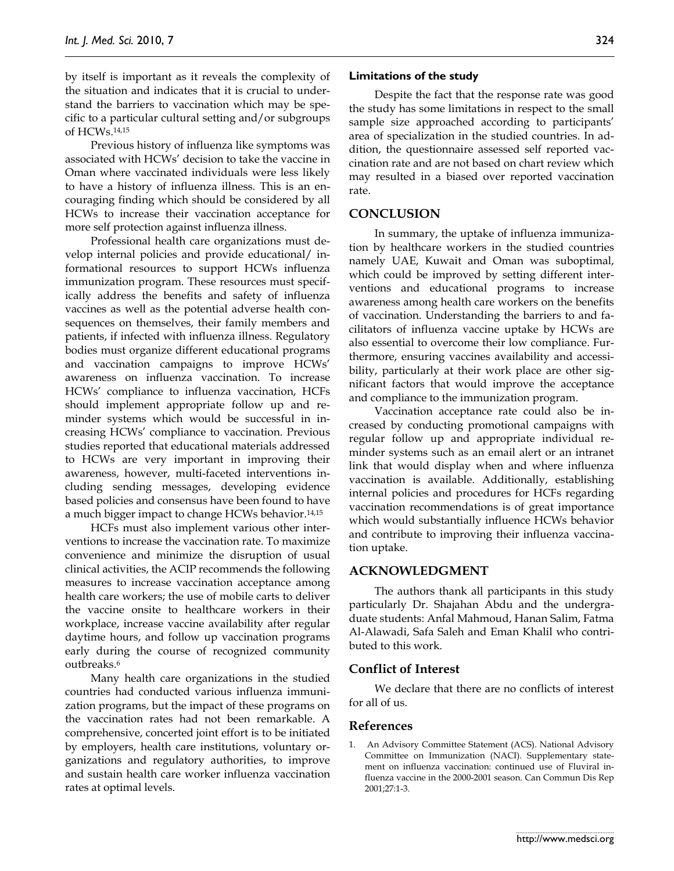by itself is important as it reveals the complexity of the situation and indicates that it is crucial to understand the barriers to vaccination which may be specific to a particular cultural setting and/or subgroups of HCWs.14,15

Previous history of influenza like symptoms was associated with HCWs' decision to take the vaccine in Oman where vaccinated individuals were less likely to have a history of influenza illness. This is an encouraging finding which should be considered by all HCWs to increase their vaccination acceptance for more self protection against influenza illness.

Professional health care organizations must develop internal policies and provide educational/ informational resources to support HCWs influenza immunization program. These resources must specifically address the benefits and safety of influenza vaccines as well as the potential adverse health consequences on themselves, their family members and patients, if infected with influenza illness. Regulatory bodies must organize different educational programs and vaccination campaigns to improve HCWs' awareness on influenza vaccination. To increase HCWs' compliance to influenza vaccination, HCFs should implement appropriate follow up and reminder systems which would be successful in increasing HCWs' compliance to vaccination. Previous studies reported that educational materials addressed to HCWs are very important in improving their awareness, however, multi-faceted interventions including sending messages, developing evidence based policies and consensus have been found to have a much bigger impact to change HCWs behavior.14,15

HCFs must also implement various other interventions to increase the vaccination rate. To maximize convenience and minimize the disruption of usual clinical activities, the ACIP recommends the following measures to increase vaccination acceptance among health care workers; the use of mobile carts to deliver the vaccine onsite to healthcare workers in their workplace, increase vaccine availability after regular daytime hours, and follow up vaccination programs early during the course of recognized community outbreaks. 6

Many health care organizations in the studied countries had conducted various influenza immunization programs, but the impact of these programs on the vaccination rates had not been remarkable. A comprehensive, concerted joint effort is to be initiated by employers, health care institutions, voluntary organizations and regulatory authorities, to improve and sustain health care worker influenza vaccination rates at optimal levels.

### **Limitations of the study**

Despite the fact that the response rate was good the study has some limitations in respect to the small sample size approached according to participants' area of specialization in the studied countries. In addition, the questionnaire assessed self reported vaccination rate and are not based on chart review which may resulted in a biased over reported vaccination rate.

# **CONCLUSION**

In summary, the uptake of influenza immunization by healthcare workers in the studied countries namely UAE, Kuwait and Oman was suboptimal, which could be improved by setting different interventions and educational programs to increase awareness among health care workers on the benefits of vaccination. Understanding the barriers to and facilitators of influenza vaccine uptake by HCWs are also essential to overcome their low compliance. Furthermore, ensuring vaccines availability and accessibility, particularly at their work place are other significant factors that would improve the acceptance and compliance to the immunization program.

Vaccination acceptance rate could also be increased by conducting promotional campaigns with regular follow up and appropriate individual reminder systems such as an email alert or an intranet link that would display when and where influenza vaccination is available. Additionally, establishing internal policies and procedures for HCFs regarding vaccination recommendations is of great importance which would substantially influence HCWs behavior and contribute to improving their influenza vaccination uptake.

### **ACKNOWLEDGMENT**

The authors thank all participants in this study particularly Dr. Shajahan Abdu and the undergraduate students: Anfal Mahmoud, Hanan Salim, Fatma Al-Alawadi, Safa Saleh and Eman Khalil who contributed to this work.

# **Conflict of Interest**

We declare that there are no conflicts of interest for all of us.

#### **References**

1. An Advisory Committee Statement (ACS). National Advisory Committee on Immunization (NACI). Supplementary statement on influenza vaccination: continued use of Fluviral influenza vaccine in the 2000-2001 season. Can Commun Dis Rep 2001;27:1-3.